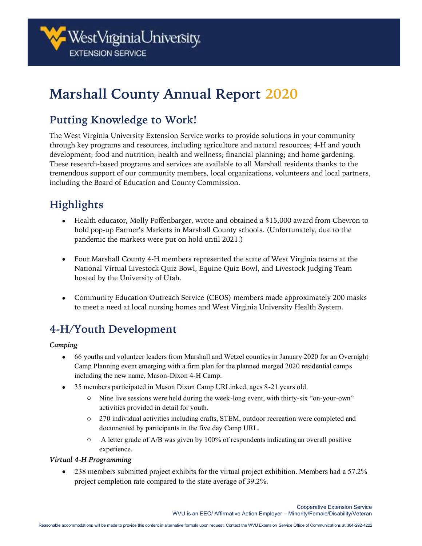# **Marshall County Annual Report 2020**

## **Putting Knowledge to Work!**

The West Virginia University Extension Service works to provide solutions in your community through key programs and resources, including agriculture and natural resources; 4-H and youth development; food and nutrition; health and wellness; financial planning; and home gardening. These research-based programs and services are available to all Marshall residents thanks to the tremendous support of our community members, local organizations, volunteers and local partners, including the Board of Education and County Commission.

# **Highlights**

- Health educator, Molly Poffenbarger, wrote and obtained a \$15,000 award from Chevron to hold pop-up Farmer's Markets in Marshall County schools. (Unfortunately, due to the pandemic the markets were put on hold until 2021.)
- Four Marshall County 4-H members represented the state of West Virginia teams at the National Virtual Livestock Quiz Bowl, Equine Quiz Bowl, and Livestock Judging Team hosted by the University of Utah.
- Community Education Outreach Service (CEOS) members made approximately 200 masks to meet a need at local nursing homes and West Virginia University Health System*.*

## **4-H/Youth Development**

#### *Camping*

- 66 youths and volunteer leaders from Marshall and Wetzel counties in January 2020 for an Overnight Camp Planning event emerging with a firm plan for the planned merged 2020 residential camps including the new name, Mason-Dixon 4-H Camp.
- 35 members participated in Mason Dixon Camp URLinked, ages 8-21 years old.
	- o Nine live sessions were held during the week-long event, with thirty-six "on-your-own" activities provided in detail for youth.
	- o 270 individual activities including crafts, STEM, outdoor recreation were completed and documented by participants in the five day Camp URL.
	- o A letter grade of A/B was given by 100% of respondents indicating an overall positive experience.

#### *Virtual 4-H Programming*

• 238 members submitted project exhibits for the virtual project exhibition. Members had a 57.2% project completion rate compared to the state average of 39.2%.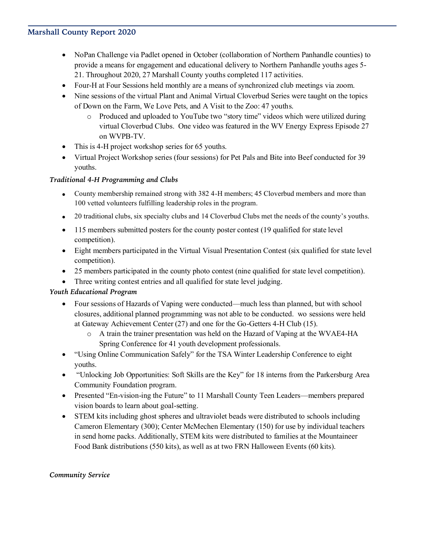#### **Marshall County Report 2020**

- NoPan Challenge via Padlet opened in October (collaboration of Northern Panhandle counties) to provide a means for engagement and educational delivery to Northern Panhandle youths ages 5- 21. Throughout 2020, 27 Marshall County youths completed 117 activities.
- Four-H at Four Sessions held monthly are a means of synchronized club meetings via zoom.
- Nine sessions of the virtual Plant and Animal Virtual Cloverbud Series were taught on the topics of Down on the Farm, We Love Pets, and A Visit to the Zoo: 47 youths.
	- o Produced and uploaded to YouTube two "story time" videos which were utilized during virtual Cloverbud Clubs. One video was featured in the WV Energy Express Episode 27 on WVPB-TV.
- This is 4-H project workshop series for 65 youths.
- Virtual Project Workshop series (four sessions) for Pet Pals and Bite into Beef conducted for 39 youths.

#### *Traditional 4-H Programming and Clubs*

- County membership remained strong with 382 4-H members; 45 Cloverbud members and more than 100 vetted volunteers fulfilling leadership roles in the program.
- 20 traditional clubs, six specialty clubs and 14 Cloverbud Clubs met the needs of the county's youths.
- 115 members submitted posters for the county poster contest (19 qualified for state level competition).
- Eight members participated in the Virtual Visual Presentation Contest (six qualified for state level competition).
- 25 members participated in the county photo contest (nine qualified for state level competition).
- Three writing contest entries and all qualified for state level judging.

#### *Youth Educational Program*

- Four sessions of Hazards of Vaping were conducted—much less than planned, but with school closures, additional planned programming was not able to be conducted. wo sessions were held at Gateway Achievement Center (27) and one for the Go-Getters 4-H Club (15).
	- o A train the trainer presentation was held on the Hazard of Vaping at the WVAE4-HA Spring Conference for 41 youth development professionals.
- "Using Online Communication Safely" for the TSA Winter Leadership Conference to eight youths.
- "Unlocking Job Opportunities: Soft Skills are the Key" for 18 interns from the Parkersburg Area Community Foundation program.
- Presented "En-vision-ing the Future" to 11 Marshall County Teen Leaders—members prepared vision boards to learn about goal-setting.
- STEM kits including ghost spheres and ultraviolet beads were distributed to schools including Cameron Elementary (300); Center McMechen Elementary (150) for use by individual teachers in send home packs. Additionally, STEM kits were distributed to families at the Mountaineer Food Bank distributions (550 kits), as well as at two FRN Halloween Events (60 kits).

#### *Community Service*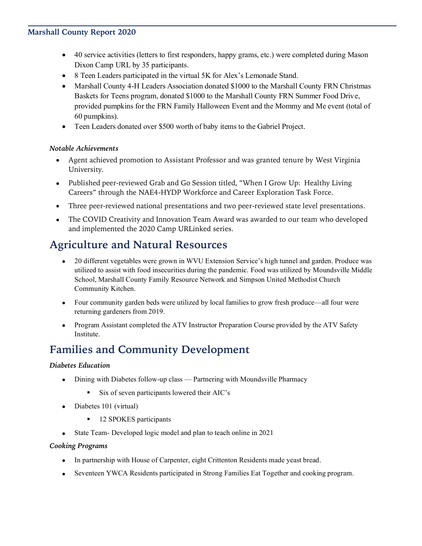#### **Marshall County Report 2020**

- 40 service activities (letters to first responders, happy grams, etc.) were completed during Mason Dixon Camp URL by 35 participants.
- 8 Teen Leaders participated in the virtual 5K for Alex's Lemonade Stand.
- Marshall County 4-H Leaders Association donated \$1000 to the Marshall County FRN Christmas Baskets for Teens program, donated \$1000 to the Marshall County FRN Summer Food Drive, provided pumpkins for the FRN Family Halloween Event and the Mommy and Me event (total of 60 pumpkins).
- Teen Leaders donated over \$500 worth of baby items to the Gabriel Project.

#### *Notable Achievements*

- Agent achieved promotion to Assistant Professor and was granted tenure by West Virginia University.
- Published peer-reviewed Grab and Go Session titled, "When I Grow Up: Healthy Living Careers" through the NAE4-HYDP Workforce and Career Exploration Task Force.
- Three peer-reviewed national presentations and two peer-reviewed state level presentations.
- The COVID Creativity and Innovation Team Award was awarded to our team who developed and implemented the 2020 Camp URLinked series.

### **Agriculture and Natural Resources**

- 20 different vegetables were grown in WVU Extension Service's high tunnel and garden. Produce was utilized to assist with food insecurities during the pandemic. Food was utilized by Moundsville Middle School, Marshall County Family Resource Network and Simpson United Methodist Church Community Kitchen.
- Four community garden beds were utilized by local families to grow fresh produce—all four were returning gardeners from 2019.
- Program Assistant completed the ATV Instructor Preparation Course provided by the ATV Safety Institute.

## **Families and Community Development**

#### *Diabetes Education*

- Dining with Diabetes follow-up class Partnering with Moundsville Pharmacy
	- Six of seven participants lowered their AIC's
- Diabetes 101 (virtual)
	- 12 SPOKES participants
- State Team- Developed logic model and plan to teach online in 2021

#### *Cooking Programs*

- In partnership with House of Carpenter, eight Crittenton Residents made yeast bread.
- Seventeen YWCA Residents participated in Strong Families Eat Together and cooking program.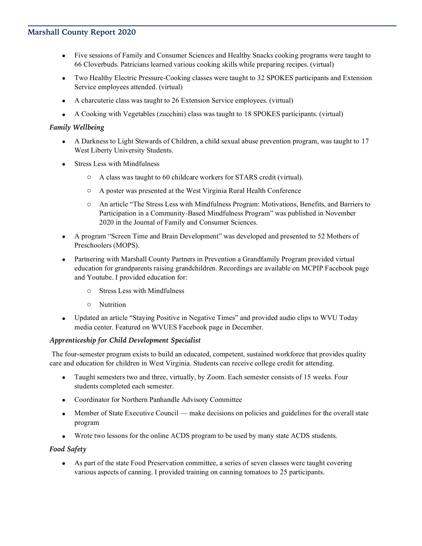- Five sessions of Family and Consumer Sciences and Healthy Snacks cooking programs were taught to 66 Cloverbuds. Patricians learned various cooking skills while preparing recipes. (virtual)
- Two Healthy Electric Pressure-Cooking classes were taught to 32 SPOKES participants and Extension Service employees attended. (virtual)
- A charcuterie class was taught to 26 Extension Service employees. (virtual)
- A Cooking with Vegetables (zucchini) class was taught to 18 SPOKES participants. (virtual)

#### *Family Wellbeing*

- A Darkness to Light Stewards of Children, a child sexual abuse prevention program, was taught to 17 West Liberty University Students.
- Stress Less with Mindfulness
	- o A class was taught to 60 childcare workers for STARS credit (virtual).
	- o A poster was presented at the West Virginia Rural Health Conference
	- o An article "The Stress Less with Mindfulness Program: Motivations, Benefits, and Barriers to Participation in a Community-Based Mindfulness Program" was published in November 2020 in the Journal of Family and Consumer Sciences.
- A program "Screen Time and Brain Development" was developed and presented to 52 Mothers of Preschoolers (MOPS).
- Partnering with Marshall County Partners in Prevention a Grandfamily Program provided virtual education for grandparents raising grandchildren. Recordings are available on MCPIP Facebook page and Youtube. I provided education for:
	- o Stress Less with Mindfulness
	- o Nutrition
- Updated an article "Staying Positive in Negative Times" and provided audio clips to WVU Today media center. Featured on WVUES Facebook page in December.

#### *Apprenticeship for Child Development Specialist*

The four-semester program exists to build an educated, competent, sustained workforce that provides quality care and education for children in West Virginia. Students can receive college credit for attending.

- Taught semesters two and three, virtually, by Zoom. Each semester consists of 15 weeks. Four students completed each semester.
- Coordinator for Northern Panhandle Advisory Committee
- Member of State Executive Council make decisions on policies and guidelines for the overall state program
- Wrote two lessons for the online ACDS program to be used by many state ACDS students.

#### *Food Safety*

• As part of the state Food Preservation committee, a series of seven classes were taught covering various aspects of canning. I provided training on canning tomatoes to 25 participants.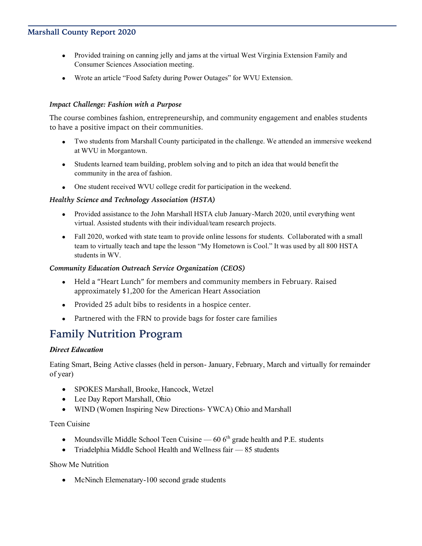- Provided training on canning jelly and jams at the virtual West Virginia Extension Family and Consumer Sciences Association meeting.
- Wrote an article "Food Safety during Power Outages" for WVU Extension.

#### *Impact Challenge: Fashion with a Purpose*

The course combines fashion, entrepreneurship, and community engagement and enables students to have a positive impact on their communities.

- Two students from Marshall County participated in the challenge. We attended an immersive weekend at WVU in Morgantown.
- Students learned team building, problem solving and to pitch an idea that would benefit the community in the area of fashion.
- One student received WVU college credit for participation in the weekend.

#### *Healthy Science and Technology Association (HSTA)*

- Provided assistance to the John Marshall HSTA club January-March 2020, until everything went virtual. Assisted students with their individual/team research projects.
- Fall 2020, worked with state team to provide online lessons for students. Collaborated with a small team to virtually teach and tape the lesson "My Hometown is Cool." It was used by all 800 HSTA students in WV.

#### *Community Education Outreach Service Organization (CEOS)*

- Held a "Heart Lunch" for members and community members in February. Raised approximately \$1,200 for the American Heart Association
- Provided 25 adult bibs to residents in a hospice center.
- Partnered with the FRN to provide bags for foster care families

### **Family Nutrition Program**

#### *Direct Education*

Eating Smart, Being Active classes (held in person- January, February, March and virtually for remainder of year)

- SPOKES Marshall, Brooke, Hancock, Wetzel
- Lee Day Report Marshall, Ohio
- WIND (Women Inspiring New Directions- YWCA) Ohio and Marshall

Teen Cuisine

- Moundsville Middle School Teen Cuisine  $-606<sup>th</sup>$  grade health and P.E. students
- Triadelphia Middle School Health and Wellness fair 85 students

Show Me Nutrition

• McNinch Elemenatary-100 second grade students